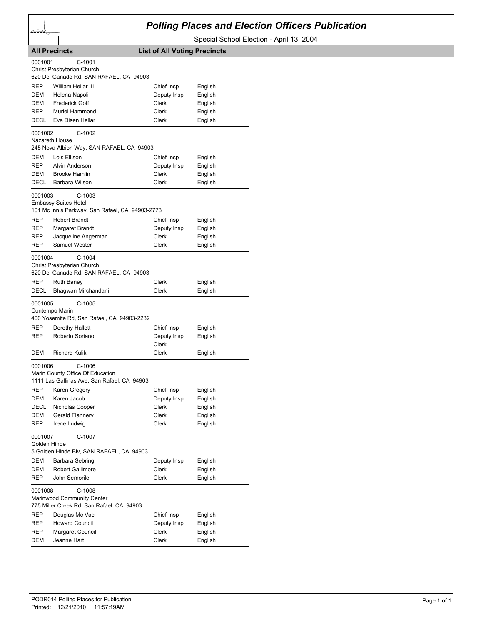## *Polling Places and Election Officers Publication*

Special School Election - April 13, 2004

| <b>All Precincts</b>                                                                                   |                                          | <b>List of All Voting Precincts</b> |                    |  |  |
|--------------------------------------------------------------------------------------------------------|------------------------------------------|-------------------------------------|--------------------|--|--|
| 0001001<br>$C-1001$<br>Christ Presbyterian Church<br>620 Del Ganado Rd, SAN RAFAEL, CA 94903           |                                          |                                     |                    |  |  |
| <b>REP</b>                                                                                             | William Hellar III                       | Chief Insp                          | English            |  |  |
| DEM                                                                                                    | Helena Napoli                            | Deputy Insp                         | English            |  |  |
| DEM                                                                                                    | <b>Frederick Goff</b>                    | Clerk                               | English            |  |  |
| REP                                                                                                    | Muriel Hammond                           | Clerk                               | English            |  |  |
| DECL                                                                                                   | Eva Disen Hellar                         | Clerk                               | English            |  |  |
| $C-1002$<br>0001002<br>Nazareth House<br>245 Nova Albion Way, SAN RAFAEL, CA 94903                     |                                          |                                     |                    |  |  |
| DEM                                                                                                    | Lois Ellison                             | Chief Insp                          | English            |  |  |
| <b>REP</b>                                                                                             | Alvin Anderson                           | Deputy Insp                         | English            |  |  |
| DEM                                                                                                    | <b>Brooke Hamlin</b>                     | Clerk                               | English            |  |  |
| DECL                                                                                                   | Barbara Wilson                           | Clerk                               | English            |  |  |
| 0001003<br>$C-1003$<br><b>Embassy Suites Hotel</b><br>101 Mc Innis Parkway, San Rafael, CA 94903-2773  |                                          |                                     |                    |  |  |
| REP                                                                                                    | <b>Robert Brandt</b>                     | Chief Insp                          | English            |  |  |
| REP                                                                                                    | Margaret Brandt                          | Deputy Insp                         | English            |  |  |
| REP                                                                                                    | Jacqueline Angerman                      | <b>Clerk</b>                        | English            |  |  |
| REP                                                                                                    | <b>Samuel Wester</b>                     | Clerk                               | English            |  |  |
| 0001004<br>$C-1004$<br>Christ Presbyterian Church<br>620 Del Ganado Rd, SAN RAFAEL, CA 94903           |                                          |                                     |                    |  |  |
| REP<br>DECL                                                                                            | <b>Ruth Baney</b><br>Bhagwan Mirchandani | Clerk<br>Clerk                      | English<br>English |  |  |
| 0001005<br>$C-1005$<br>Contempo Marin<br>400 Yosemite Rd, San Rafael, CA 94903-2232                    |                                          |                                     |                    |  |  |
| REP                                                                                                    | Dorothy Hallett                          | Chief Insp                          | English            |  |  |
| REP                                                                                                    | Roberto Soriano                          | Deputy Insp<br>Clerk                | English            |  |  |
| DEM                                                                                                    | <b>Richard Kulik</b>                     | Clerk                               | English            |  |  |
| 0001006<br>$C-1006$<br>Marin County Office Of Education<br>1111 Las Gallinas Ave, San Rafael, CA 94903 |                                          |                                     |                    |  |  |
| REP                                                                                                    | Karen Gregory                            | Chief Insp                          | English            |  |  |
| DEM                                                                                                    | Karen Jacob                              | Deputy Insp                         | English            |  |  |
| DECL                                                                                                   | Nicholas Cooper                          | Clerk                               | English            |  |  |
| DEM                                                                                                    | Gerald Flannery                          | Clerk                               | English            |  |  |
| <b>REP</b>                                                                                             | Irene Ludwig<br>C-1007                   | Clerk                               | English            |  |  |
| 0001007<br>Golden Hinde<br>5 Golden Hinde Blv, SAN RAFAEL, CA 94903                                    |                                          |                                     |                    |  |  |
| DEM                                                                                                    | Barbara Sebring                          | Deputy Insp                         | English            |  |  |
| DEM                                                                                                    | <b>Robert Gallimore</b>                  | Clerk                               | English            |  |  |
| <b>REP</b>                                                                                             | John Semorile                            | Clerk                               | English            |  |  |
| $C-1008$<br>0001008<br>Marinwood Community Center<br>775 Miller Creek Rd, San Rafael, CA 94903         |                                          |                                     |                    |  |  |
| REP                                                                                                    | Douglas Mc Vae                           | Chief Insp                          | English            |  |  |
| REP                                                                                                    | <b>Howard Council</b>                    | Deputy Insp                         | English            |  |  |
| REP<br>DEM                                                                                             | Margaret Council<br>Jeanne Hart          | Clerk<br>Clerk                      | English<br>English |  |  |
|                                                                                                        |                                          |                                     |                    |  |  |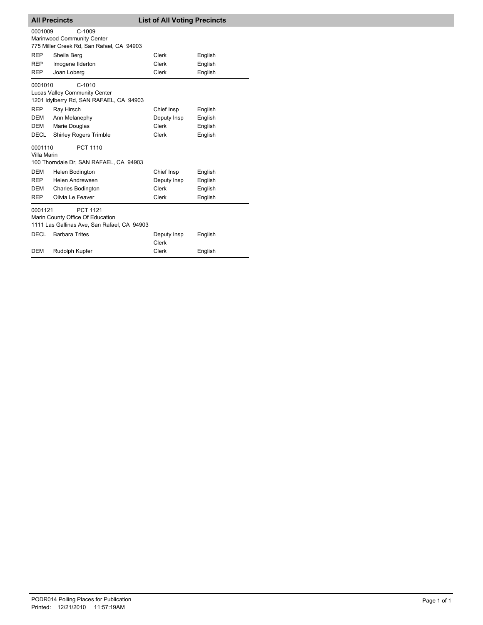| <b>All Precincts</b>                                                                                          |                               | <b>List of All Voting Precincts</b> |         |  |  |  |
|---------------------------------------------------------------------------------------------------------------|-------------------------------|-------------------------------------|---------|--|--|--|
| 0001009<br>$C-1009$<br>Marinwood Community Center<br>775 Miller Creek Rd, San Rafael, CA 94903                |                               |                                     |         |  |  |  |
| <b>REP</b>                                                                                                    | Sheila Berg                   | Clerk                               | English |  |  |  |
| <b>REP</b>                                                                                                    | Imogene Ilderton              | Clerk                               | English |  |  |  |
| <b>REP</b>                                                                                                    | Joan Loberg                   | Clerk                               | English |  |  |  |
| 0001010<br>$C-1010$<br>Lucas Valley Community Center<br>1201 Idylberry Rd, SAN RAFAEL, CA 94903               |                               |                                     |         |  |  |  |
| <b>REP</b>                                                                                                    | Ray Hirsch                    | Chief Insp                          | English |  |  |  |
| <b>DEM</b>                                                                                                    | Ann Melanephy                 | Deputy Insp                         | English |  |  |  |
| DEM                                                                                                           | Marie Douglas                 | Clerk                               | English |  |  |  |
| <b>DECL</b>                                                                                                   | <b>Shirley Rogers Trimble</b> | <b>Clerk</b>                        | English |  |  |  |
| <b>PCT 1110</b><br>0001110<br>Villa Marin<br>100 Thorndale Dr, SAN RAFAEL, CA 94903                           |                               |                                     |         |  |  |  |
| <b>DEM</b>                                                                                                    | Helen Bodington               | Chief Insp                          | English |  |  |  |
| <b>REP</b>                                                                                                    | Helen Andrewsen               | Deputy Insp                         | English |  |  |  |
| <b>DEM</b>                                                                                                    | Charles Bodington             | Clerk                               | English |  |  |  |
| <b>REP</b>                                                                                                    | Olivia Le Feaver              | <b>Clerk</b>                        | English |  |  |  |
| <b>PCT 1121</b><br>0001121<br>Marin County Office Of Education<br>1111 Las Gallinas Ave, San Rafael, CA 94903 |                               |                                     |         |  |  |  |
| <b>DECL</b>                                                                                                   | <b>Barbara Trites</b>         | Deputy Insp<br>Clerk                | English |  |  |  |
| <b>DEM</b>                                                                                                    | Rudolph Kupfer                | <b>Clerk</b>                        | English |  |  |  |